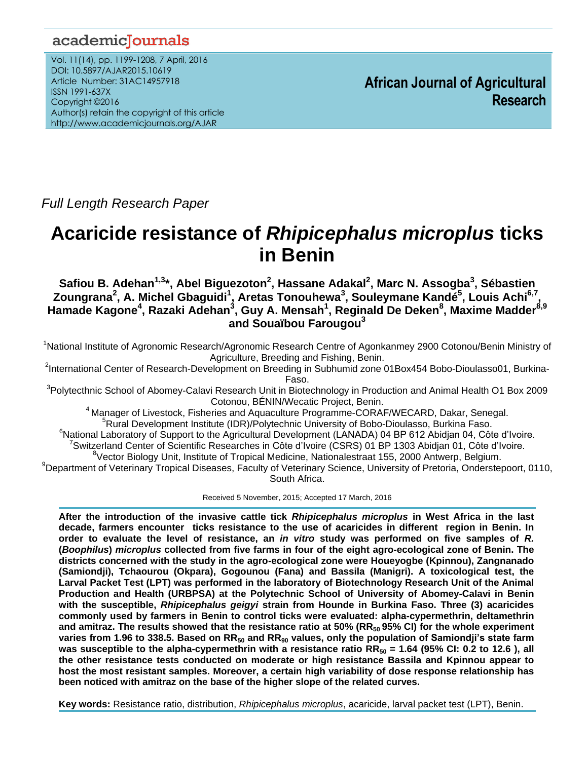# academicJournals

Vol. 11(14), pp. 1199-1208, 7 April, 2016 DOI: 10.5897/AJAR2015.10619 Article Number: 31AC14957918 ISSN 1991-637X Copyright ©2016 Author(s) retain the copyright of this article http://www.academicjournals.org/AJAR

**African Journal of Agricultural Research**

*Full Length Research Paper*

# **Acaricide resistance of** *Rhipicephalus microplus* **ticks in Benin**

**Safiou B. Adehan1,3\*, Abel Biguezoton<sup>2</sup> , Hassane Adakal<sup>2</sup> , Marc N. Assogba<sup>3</sup> , Sébastien Zoungrana<sup>2</sup> , A. Michel Gbaguidi<sup>1</sup> , Aretas Tonouhewa<sup>3</sup> , Souleymane Kandé 5 , Louis Achi6,7 , Hamade Kagone<sup>4</sup> , Razaki Adehan<sup>3</sup> , Guy A. Mensah<sup>1</sup> , Reginald De Deken<sup>8</sup> , Maxime Madder8,9 and Souaïbou Farougou<sup>3</sup>**

<sup>1</sup>National Institute of Agronomic Research/Agronomic Research Centre of Agonkanmey 2900 Cotonou/Benin Ministry of Agriculture, Breeding and Fishing, Benin.

<sup>2</sup>International Center of Research-Development on Breeding in Subhumid zone 01Box454 Bobo-Dioulasso01, Burkina-Faso.

<sup>3</sup>Polytecthnic School of Abomey-Calavi Research Unit in Biotechnology in Production and Animal Health O1 Box 2009 Cotonou, BÉNIN/Wecatic Project, Benin.

<sup>4</sup> Manager of Livestock, Fisheries and Aquaculture Programme-CORAF/WECARD, Dakar, Senegal. <sup>5</sup>Rural Development Institute (IDR)/Polytechnic University of Bobo-Dioulasso, Burkina Faso.

<sup>6</sup>National Laboratory of Support to the Agricultural Development (LANADA) 04 BP 612 Abidjan 04, Côte d'Ivoire. <sup>7</sup>Switzerland Center of Scientific Researches in Côte d'Ivoire (CSRS) 01 BP 1303 Abidjan 01, Côte d'Ivoire. <sup>8</sup>Vector Biology Unit, Institute of Tropical Medicine, Nationalestraat 155, 2000 Antwerp, Belgium.

<sup>9</sup>Department of Veterinary Tropical Diseases, Faculty of Veterinary Science, University of Pretoria, Onderstepoort, 0110, South Africa.

Received 5 November, 2015; Accepted 17 March, 2016

**After the introduction of the invasive cattle tick** *Rhipicephalus microplus* **in West Africa in the last decade, farmers encounter ticks resistance to the use of acaricides in different region in Benin. In order to evaluate the level of resistance, an** *in vitro* **study was performed on five samples of** *R.* **(***Boophilus***)** *microplus* **collected from five farms in four of the eight agro-ecological zone of Benin. The districts concerned with the study in the agro-ecological zone were Houeyogbe (Kpinnou), Zangnanado (Samiondji), Tchaourou (Okpara), Gogounou (Fana) and Bassila (Manigri). A toxicological test, the Larval Packet Test (LPT) was performed in the laboratory of Biotechnology Research Unit of the Animal Production and Health (URBPSA) at the Polytechnic School of University of Abomey-Calavi in Benin with the susceptible,** *Rhipicephalus geigyi* **strain from Hounde in Burkina Faso. Three (3) acaricides commonly used by farmers in Benin to control ticks were evaluated: alpha-cypermethrin, deltamethrin and amitraz. The results showed that the resistance ratio at 50% (RR50 95% CI) for the whole experiment varies from 1.96 to 338.5. Based on RR<sup>50</sup> and RR<sup>90</sup> values, only the population of Samiondji's state farm was susceptible to the alpha-cypermethrin with a resistance ratio RR<sup>50</sup> = 1.64 (95% CI: 0.2 to 12.6 ), all the other resistance tests conducted on moderate or high resistance Bassila and Kpinnou appear to host the most resistant samples. Moreover, a certain high variability of dose response relationship has been noticed with amitraz on the base of the higher slope of the related curves.**

**Key words:** Resistance ratio, distribution, *Rhipicephalus microplus*, acaricide, larval packet test (LPT), Benin.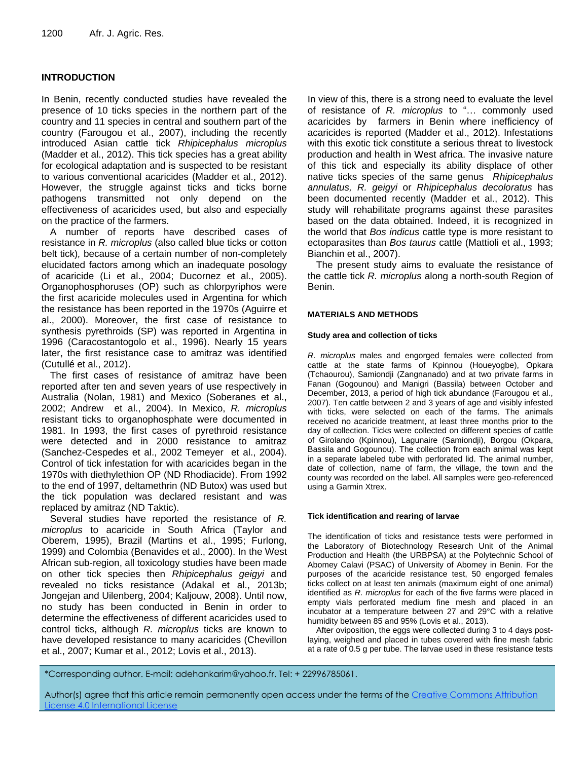# **INTRODUCTION**

In Benin, recently conducted studies have revealed the presence of 10 ticks species in the northern part of the country and 11 species in central and southern part of the country (Farougou et al., 2007), including the recently introduced Asian cattle tick *Rhipicephalus microplus* (Madder et al., 2012). This tick species has a great ability for ecological adaptation and is suspected to be resistant to various conventional acaricides (Madder et al., 2012). However, the struggle against ticks and ticks borne pathogens transmitted not only depend on the effectiveness of acaricides used, but also and especially on the practice of the farmers.

A number of reports have described cases of resistance in *R. microplus* (also called blue ticks or cotton belt tick)*,* because of a certain number of non-completely elucidated factors among which an inadequate posology of acaricide (Li et al., 2004; Ducornez et al., 2005). Organophosphoruses (OP) such as chlorpyriphos were the first acaricide molecules used in Argentina for which the resistance has been reported in the 1970s (Aguirre et al., 2000). Moreover, the first case of resistance to synthesis pyrethroids (SP) was reported in Argentina in 1996 (Caracostantogolo et al., 1996). Nearly 15 years later, the first resistance case to amitraz was identified (Cutullé et al., 2012).

The first cases of resistance of amitraz have been reported after ten and seven years of use respectively in Australia (Nolan, 1981) and Mexico (Soberanes et al., 2002; Andrew et al., 2004). In Mexico, *R. microplus* resistant ticks to organophosphate were documented in 1981. In 1993, the first cases of pyrethroid resistance were detected and in 2000 resistance to amitraz (Sanchez-Cespedes et al., 2002 Temeyer et al., 2004). Control of tick infestation for with acaricides began in the 1970s with diethylethion OP (ND Rhodiacide). From 1992 to the end of 1997, deltamethrin (ND Butox) was used but the tick population was declared resistant and was replaced by amitraz (ND Taktic).

Several studies have reported the resistance of *R. microplus* to acaricide in South Africa (Taylor and Oberem, 1995), Brazil (Martins et al., 1995; Furlong, 1999) and Colombia (Benavides et al., 2000). In the West African sub-region, all toxicology studies have been made on other tick species then *Rhipicephalus geigyi* and revealed no ticks resistance (Adakal et al., 2013b; Jongejan and Uilenberg, 2004; Kaljouw, 2008). Until now, no study has been conducted in Benin in order to determine the effectiveness of different acaricides used to control ticks, although *R. microplus* ticks are known to have developed resistance to many acaricides (Chevillon et al., 2007; Kumar et al., 2012; Lovis et al., 2013).

In view of this, there is a strong need to evaluate the level of resistance of *R. microplus* to "… commonly used acaricides by farmers in Benin where inefficiency of acaricides is reported (Madder et al., 2012). Infestations with this exotic tick constitute a serious threat to livestock production and health in West africa. The invasive nature of this tick and especially its ability displace of other native ticks species of the same genus *Rhipicephalus annulatus, R. geigyi* or *Rhipicephalus decoloratus* has been documented recently (Madder et al., 2012). This study will rehabilitate programs against these parasites based on the data obtained. Indeed, it is recognized in the world that *Bos indicus* cattle type is more resistant to ectoparasites than *Bos taurus* cattle (Mattioli et al., 1993; Bianchin et al., 2007).

The present study aims to evaluate the resistance of the cattle tick *R. microplus* along a north-south Region of Benin.

#### **MATERIALS AND METHODS**

#### **Study area and collection of ticks**

*R. microplus* males and engorged females were collected from cattle at the state farms of Kpinnou (Houeyogbe), Opkara (Tchaourou), Samiondji (Zangnanado) and at two private farms in Fanan (Gogounou) and Manigri (Bassila) between October and December, 2013, a period of high tick abundance (Farougou et al., 2007). Ten cattle between 2 and 3 years of age and visibly infested with ticks, were selected on each of the farms. The animals received no acaricide treatment, at least three months prior to the day of collection. Ticks were collected on different species of cattle of Girolando (Kpinnou), Lagunaire (Samiondji), Borgou (Okpara, Bassila and Gogounou). The collection from each animal was kept in a separate labeled tube with perforated lid. The animal number, date of collection, name of farm, the village, the town and the county was recorded on the label. All samples were geo-referenced using a Garmin Xtrex.

#### **Tick identification and rearing of larvae**

The identification of ticks and resistance tests were performed in the Laboratory of Biotechnology Research Unit of the Animal Production and Health (the URBPSA) at the Polytechnic School of Abomey Calavi (PSAC) of University of Abomey in Benin. For the purposes of the acaricide resistance test, 50 engorged females ticks collect on at least ten animals (maximum eight of one animal) identified as *R. microplus* for each of the five farms were placed in empty vials perforated medium fine mesh and placed in an incubator at a temperature between 27 and 29°C with a relative humidity between 85 and 95% (Lovis et al., 2013).

After oviposition, the eggs were collected during 3 to 4 days postlaying, weighed and placed in tubes covered with fine mesh fabric at a rate of 0.5 g per tube. The larvae used in these resistance tests

\*Corresponding author. E-mail: adehankarim@yahoo.fr. Tel: + 22996785061.

Author(s) agree that this article remain permanently open access under the terms of the Creative Commons Attribution [License 4.0 International License](http://creativecommons.org/licenses/by/4.0/deed.en_US)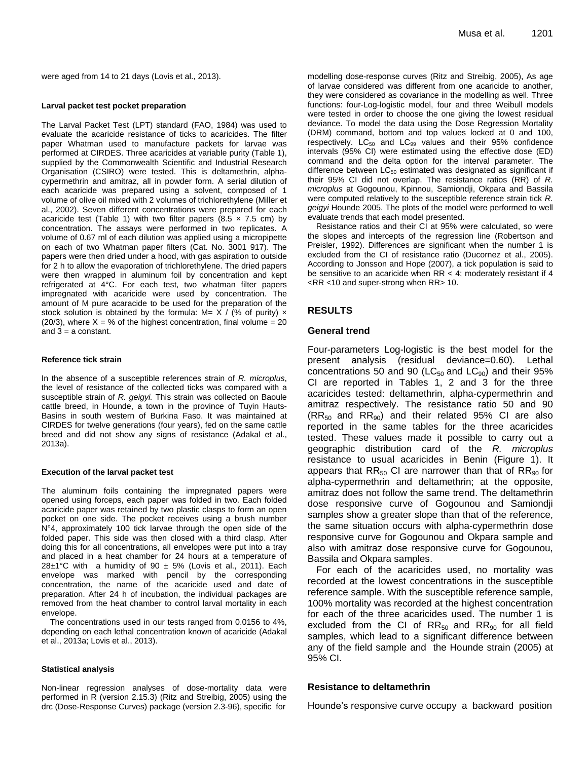were aged from 14 to 21 days (Lovis et al., 2013).

#### **Larval packet test pocket preparation**

The Larval Packet Test (LPT) standard (FAO, 1984) was used to evaluate the acaricide resistance of ticks to acaricides. The filter paper Whatman used to manufacture packets for larvae was performed at CIRDES. Three acaricides at variable purity (Table 1), supplied by the Commonwealth Scientific and Industrial Research Organisation (CSIRO) were tested. This is deltamethrin, alphacypermethrin and amitraz, all in powder form. A serial dilution of each acaricide was prepared using a solvent, composed of 1 volume of olive oil mixed with 2 volumes of trichlorethylene (Miller et al., 2002). Seven different concentrations were prepared for each acaricide test (Table 1) with two filter papers (8.5  $\times$  7.5 cm) by concentration. The assays were performed in two replicates. A volume of 0.67 ml of each dilution was applied using a micropipette on each of two Whatman paper filters (Cat. No. 3001 917). The papers were then dried under a hood, with gas aspiration to outside for 2 h to allow the evaporation of trichlorethylene. The dried papers were then wrapped in aluminum foil by concentration and kept refrigerated at 4°C. For each test, two whatman filter papers impregnated with acaricide were used by concentration. The amount of M pure acaracide to be used for the preparation of the stock solution is obtained by the formula: M=  $X$  / (% of purity)  $\times$ (20/3), where  $X = \%$  of the highest concentration, final volume = 20 and  $3 = a$  constant.

#### **Reference tick strain**

In the absence of a susceptible references strain of *R. microplus*, the level of resistance of the collected ticks was compared with a susceptible strain of *R. geigyi.* This strain was collected on Baoule cattle breed, in Hounde, a town in the province of Tuyin Hauts-Basins in south western of Burkina Faso. It was maintained at CIRDES for twelve generations (four years), fed on the same cattle breed and did not show any signs of resistance (Adakal et al., 2013a).

#### **Execution of the larval packet test**

The aluminum foils containing the impregnated papers were opened using forceps, each paper was folded in two. Each folded acaricide paper was retained by two plastic clasps to form an open pocket on one side. The pocket receives using a brush number N°4, approximately 100 tick larvae through the open side of the folded paper. This side was then closed with a third clasp. After doing this for all concentrations, all envelopes were put into a tray and placed in a heat chamber for 24 hours at a temperature of 28 $\pm$ 1°C with a humidity of 90  $\pm$  5% (Lovis et al., 2011). Each envelope was marked with pencil by the corresponding concentration, the name of the acaricide used and date of preparation. After 24 h of incubation, the individual packages are removed from the heat chamber to control larval mortality in each envelope.

The concentrations used in our tests ranged from 0.0156 to 4%, depending on each lethal concentration known of acaricide (Adakal et al., 2013a; Lovis et al., 2013).

#### **Statistical analysis**

Non-linear regression analyses of dose-mortality data were performed in R (version 2.15.3) (Ritz and Streibig, 2005) using the drc (Dose-Response Curves) package (version 2.3-96), specific for

modelling dose-response curves (Ritz and Streibig, 2005), As age of larvae considered was different from one acaricide to another, they were considered as covariance in the modelling as well. Three functions: four-Log-logistic model, four and three Weibull models were tested in order to choose the one giving the lowest residual deviance. To model the data using the Dose Regression Mortality (DRM) command, bottom and top values locked at 0 and 100, respectively.  $LC_{50}$  and  $LC_{99}$  values and their 95% confidence intervals (95% CI) were estimated using the effective dose (ED) command and the delta option for the interval parameter. The difference between  $LC_{50}$  estimated was designated as significant if their 95% CI did not overlap. The resistance ratios (RR) of *R. microplus* at Gogounou, Kpinnou, Samiondji, Okpara and Bassila were computed relatively to the susceptible reference strain tick *R. geigyi* Hounde 2005. The plots of the model were performed to well evaluate trends that each model presented.

Resistance ratios and their CI at 95% were calculated, so were the slopes and intercepts of the regression line (Robertson and Preisler, 1992). Differences are significant when the number 1 is excluded from the CI of resistance ratio (Ducornez et al., 2005). According to Jonsson and Hope (2007), a tick population is said to be sensitive to an acaricide when RR < 4; moderately resistant if 4 <RR <10 and super-strong when RR> 10.

#### **RESULTS**

#### **General trend**

Four-parameters Log-logistic is the best model for the present analysis (residual deviance=0.60). Lethal concentrations 50 and 90 ( $\mathsf{LC}_{50}$  and  $\mathsf{LC}_{90}$ ) and their 95% CI are reported in Tables 1, 2 and 3 for the three acaricides tested: deltamethrin, alpha-cypermethrin and amitraz respectively. The resistance ratio 50 and 90  $(RR_{50}$  and  $RR_{90}$ ) and their related 95% CI are also reported in the same tables for the three acaricides tested. These values made it possible to carry out a geographic distribution card of the *R. microplus* resistance to usual acaricides in Benin (Figure 1). It appears that  $RR_{50}$  CI are narrower than that of  $RR_{90}$  for alpha-cypermethrin and deltamethrin; at the opposite, amitraz does not follow the same trend. The deltamethrin dose responsive curve of Gogounou and Samiondji samples show a greater slope than that of the reference, the same situation occurs with alpha-cypermethrin dose responsive curve for Gogounou and Okpara sample and also with amitraz dose responsive curve for Gogounou, Bassila and Okpara samples.

For each of the acaricides used, no mortality was recorded at the lowest concentrations in the susceptible reference sample. With the susceptible reference sample, 100% mortality was recorded at the highest concentration for each of the three acaricides used. The number 1 is excluded from the CI of  $RR_{50}$  and  $RR_{90}$  for all field samples, which lead to a significant difference between any of the field sample and the Hounde strain (2005) at 95% CI.

#### **Resistance to deltamethrin**

Hounde's responsive curve occupy a backward position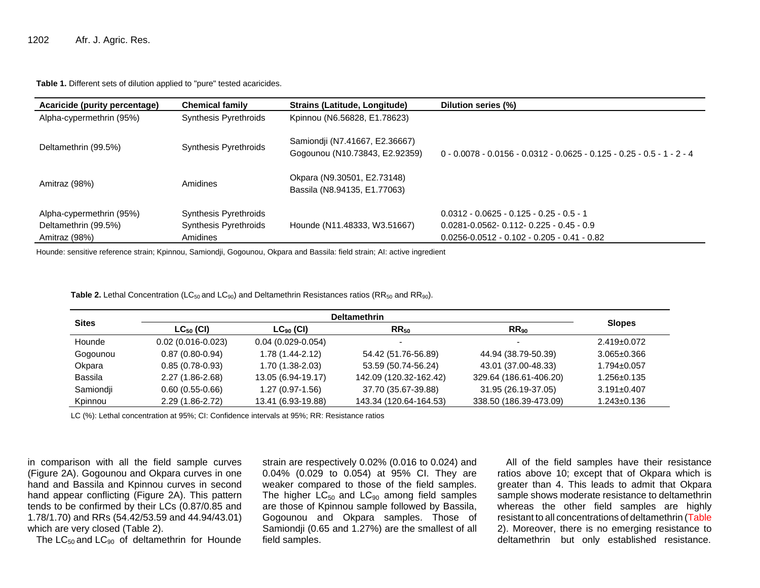**Table 1.** Different sets of dilution applied to "pure" tested acaricides.

| Acaricide (purity percentage) | <b>Chemical family</b>       | <b>Strains (Latitude, Longitude)</b>                             | Dilution series (%)                                                      |
|-------------------------------|------------------------------|------------------------------------------------------------------|--------------------------------------------------------------------------|
| Alpha-cypermethrin (95%)      | <b>Synthesis Pyrethroids</b> | Kpinnou (N6.56828, E1.78623)                                     |                                                                          |
| Deltamethrin (99.5%)          | <b>Synthesis Pyrethroids</b> | Samiondji (N7.41667, E2.36667)<br>Gogounou (N10.73843, E2.92359) | $0 - 0.0078 - 0.0156 - 0.0312 - 0.0625 - 0.125 - 0.25 - 0.5 - 1 - 2 - 4$ |
| Amitraz (98%)                 | Amidines                     | Okpara (N9.30501, E2.73148)<br>Bassila (N8.94135, E1.77063)      |                                                                          |
| Alpha-cypermethrin (95%)      | <b>Synthesis Pyrethroids</b> |                                                                  | $0.0312 - 0.0625 - 0.125 - 0.25 - 0.5 - 1$                               |
| Deltamethrin (99.5%)          | <b>Synthesis Pyrethroids</b> | Hounde (N11.48333, W3.51667)                                     | $0.0281 - 0.0562 - 0.112 - 0.225 - 0.45 - 0.9$                           |
| Amitraz (98%)                 | Amidines                     |                                                                  | $0.0256 - 0.0512 - 0.102 - 0.205 - 0.41 - 0.82$                          |

Hounde: sensitive reference strain; Kpinnou, Samiondji, Gogounou, Okpara and Bassila: field strain; AI: active ingredient

**Table 2.** Lethal Concentration (LC<sub>50</sub> and LC<sub>90</sub>) and Deltamethrin Resistances ratios (RR<sub>50</sub> and RR<sub>90</sub>).

| <b>Sites</b> | <b>Deltamethrin</b>   |                     |                        |                        |                   |
|--------------|-----------------------|---------------------|------------------------|------------------------|-------------------|
|              | $LC_{50}$ (CI)        | $LC_{90}$ (CI)      | $RR_{50}$              | $RR_{90}$              | <b>Slopes</b>     |
| Hounde       | $0.02(0.016 - 0.023)$ | $0.04(0.029-0.054)$ |                        |                        | $2.419 \pm 0.072$ |
| Gogounou     | $0.87(0.80-0.94)$     | $1.78(1.44 - 2.12)$ | 54.42 (51.76-56.89)    | 44.94 (38.79-50.39)    | $3.065 \pm 0.366$ |
| Okpara       | $0.85(0.78-0.93)$     | 1.70 (1.38-2.03)    | 53.59 (50.74-56.24)    | 43.01 (37.00-48.33)    | $1.794 \pm 0.057$ |
| Bassila      | 2.27 (1.86-2.68)      | 13.05 (6.94-19.17)  | 142.09 (120.32-162.42) | 329.64 (186.61-406.20) | $1.256 \pm 0.135$ |
| Samiondji    | $0.60(0.55-0.66)$     | $1.27(0.97-1.56)$   | 37.70 (35.67-39.88)    | 31.95 (26.19-37.05)    | $3.191 \pm 0.407$ |
| Kpinnou      | 2.29 (1.86-2.72)      | 13.41 (6.93-19.88)  | 143.34 (120.64-164.53) | 338.50 (186.39-473.09) | 1.243±0.136       |

LC (%): Lethal concentration at 95%; CI: Confidence intervals at 95%; RR: Resistance ratios

in comparison with all the field sample curves (Figure 2A). Gogounou and Okpara curves in one hand and Bassila and Kpinnou curves in second hand appear conflicting (Figure 2A). This pattern tends to be confirmed by their LCs (0.87/0.85 and 1.78/1.70) and RRs (54.42/53.59 and 44.94/43.01) which are very closed (Table 2).

The  $LC_{50}$  and  $LC_{90}$  of deltamethrin for Hounde

strain are respectively 0.02% (0.016 to 0.024) and 0.04% (0.029 to 0.054) at 95% CI. They are weaker compared to those of the field samples. The higher  $LC_{50}$  and  $LC_{90}$  among field samples are those of Kpinnou sample followed by Bassila, Gogounou and Okpara samples. Those of Samiondji (0.65 and 1.27%) are the smallest of all field samples.

All of the field samples have their resistance ratios above 10; except that of Okpara which is greater than 4. This leads to admit that Okpara sample shows moderate resistance to deltamethrin whereas the other field samples are highly resistant to all concentrations of deltamethrin (Table 2). Moreover, there is no emerging resistance to deltamethrin but only established resistance.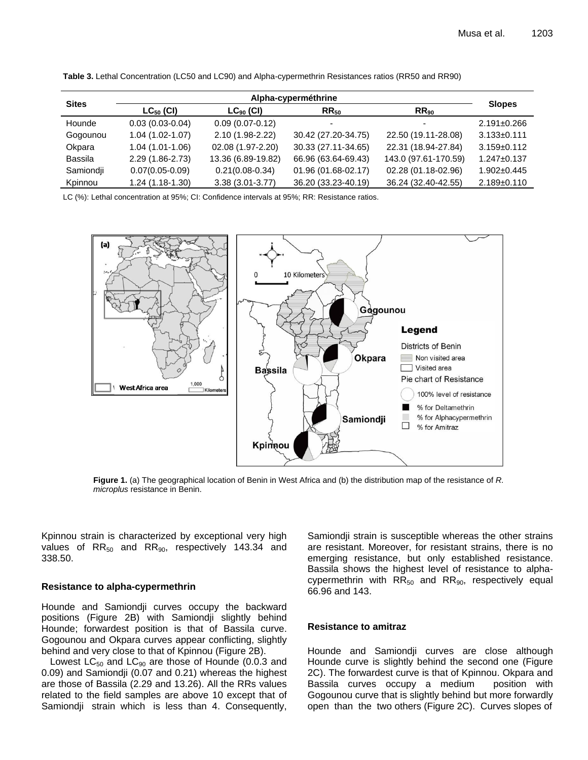| <b>Sites</b> | Alpha-cyperméthrine |                     |                     |                          |                   |
|--------------|---------------------|---------------------|---------------------|--------------------------|-------------------|
|              | $LC_{50}$ (CI)      | $LC_{90}$ (CI)      | $RR_{50}$           | $RR_{90}$                | <b>Slopes</b>     |
| Hounde       | $0.03(0.03-0.04)$   | $0.09(0.07 - 0.12)$ | -                   | $\overline{\phantom{0}}$ | $2.191 \pm 0.266$ |
| Gogounou     | $1.04(1.02-1.07)$   | 2.10 (1.98-2.22)    | 30.42 (27.20-34.75) | 22.50 (19.11-28.08)      | $3.133 \pm 0.111$ |
| Okpara       | $1.04(1.01-1.06)$   | 02.08 (1.97-2.20)   | 30.33 (27.11-34.65) | 22.31 (18.94-27.84)      | $3.159 \pm 0.112$ |
| Bassila      | $2.29(1.86 - 2.73)$ | 13.36 (6.89-19.82)  | 66.96 (63.64-69.43) | 143.0 (97.61-170.59)     | $1.247 \pm 0.137$ |
| Samiondii    | $0.07(0.05 - 0.09)$ | $0.21(0.08-0.34)$   | 01.96 (01.68-02.17) | 02.28 (01.18-02.96)      | $1.902 \pm 0.445$ |
| Kpinnou      | $1.24(1.18-1.30)$   | $3.38(3.01 - 3.77)$ | 36.20 (33.23-40.19) | 36.24 (32.40-42.55)      | $2.189 \pm 0.110$ |

**Table 3.** Lethal Concentration (LC50 and LC90) and Alpha-cypermethrin Resistances ratios (RR50 and RR90)

LC (%): Lethal concentration at 95%; CI: Confidence intervals at 95%; RR: Resistance ratios.



**Figure 1.** (a) The geographical location of Benin in West Africa and (b) the distribution map of the resistance of *R. microplus* resistance in Benin.

Kpinnou strain is characterized by exceptional very high values of  $RR_{50}$  and  $RR_{90}$ , respectively 143.34 and 338.50.

## **Resistance to alpha-cypermethrin**

Hounde and Samiondji curves occupy the backward positions (Figure 2B) with Samiondji slightly behind Hounde; forwardest position is that of Bassila curve. Gogounou and Okpara curves appear conflicting, slightly behind and very close to that of Kpinnou (Figure 2B).

Lowest  $LC_{50}$  and  $LC_{90}$  are those of Hounde (0.0.3 and 0.09) and Samiondji (0.07 and 0.21) whereas the highest are those of Bassila (2.29 and 13.26). All the RRs values related to the field samples are above 10 except that of Samiondji strain which is less than 4. Consequently, Samiondji strain is susceptible whereas the other strains are resistant. Moreover, for resistant strains, there is no emerging resistance, but only established resistance. Bassila shows the highest level of resistance to alphacypermethrin with  $RR_{50}$  and  $RR_{90}$ , respectively equal 66.96 and 143.

## **Resistance to amitraz**

Hounde and Samiondji curves are close although Hounde curve is slightly behind the second one (Figure 2C). The forwardest curve is that of Kpinnou. Okpara and Bassila curves occupy a medium position with Gogounou curve that is slightly behind but more forwardly open than the two others (Figure 2C). Curves slopes of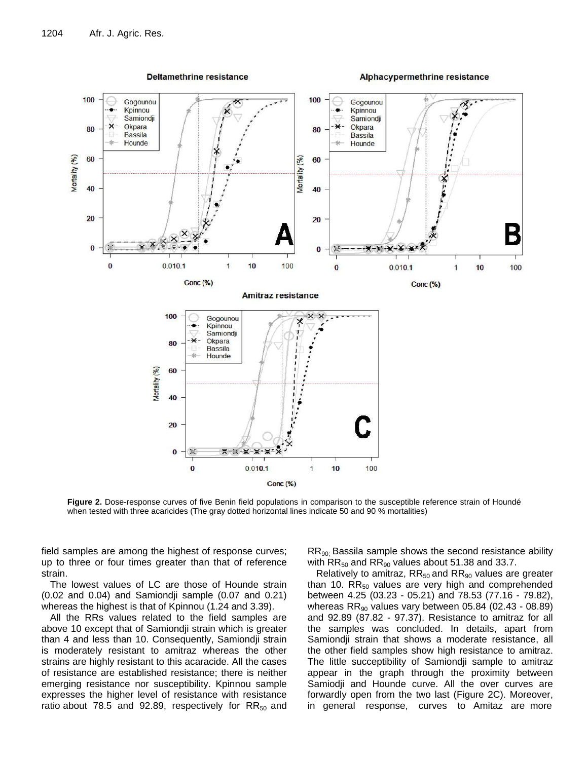

**Figure 2.** Dose-response curves of five Benin field populations in comparison to the susceptible reference strain of Houndé when tested with three acaricides (The gray dotted horizontal lines indicate 50 and 90 % mortalities)

field samples are among the highest of response curves; up to three or four times greater than that of reference strain.

The lowest values of LC are those of Hounde strain (0.02 and 0.04) and Samiondji sample (0.07 and 0.21) whereas the highest is that of Kpinnou (1.24 and 3.39).

All the RRs values related to the field samples are above 10 except that of Samiondji strain which is greater than 4 and less than 10. Consequently, Samiondji strain is moderately resistant to amitraz whereas the other strains are highly resistant to this acaracide. All the cases of resistance are established resistance; there is neither emerging resistance nor susceptibility. Kpinnou sample expresses the higher level of resistance with resistance ratio about 78.5 and 92.89, respectively for  $RR_{50}$  and

 $RR_{90}$  Bassila sample shows the second resistance ability with  $RR_{50}$  and  $RR_{90}$  values about 51.38 and 33.7.

Relatively to amitraz,  $RR_{50}$  and  $RR_{90}$  values are greater than 10.  $RR_{50}$  values are very high and comprehended between 4.25 (03.23 - 05.21) and 78.53 (77.16 - 79.82), whereas  $RR_{90}$  values vary between 05.84 (02.43 - 08.89) and 92.89 (87.82 - 97.37). Resistance to amitraz for all the samples was concluded. In details, apart from Samiondji strain that shows a moderate resistance, all the other field samples show high resistance to amitraz. The little succeptibility of Samiondji sample to amitraz appear in the graph through the proximity between Samiodji and Hounde curve. All the over curves are forwardly open from the two last (Figure 2C). Moreover, in general response, curves to Amitaz are more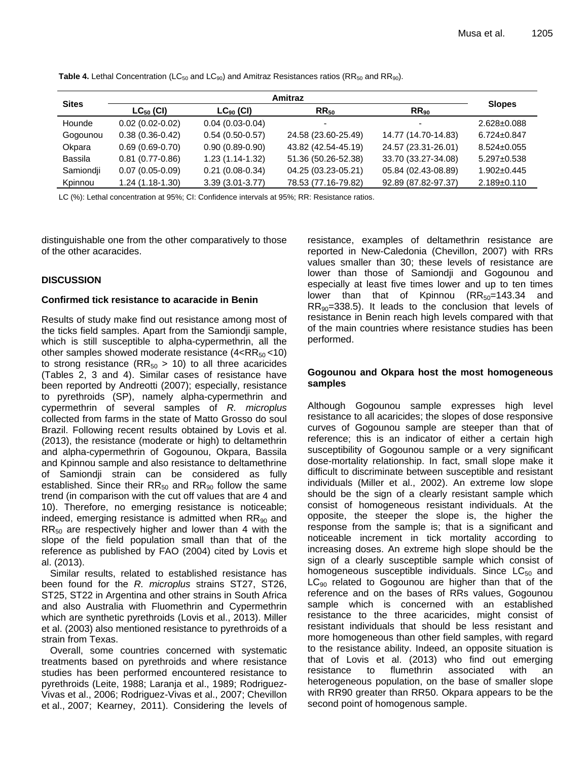| <b>Sites</b> | Amitraz           |                     |                     |                          |                   |
|--------------|-------------------|---------------------|---------------------|--------------------------|-------------------|
|              | $LC_{50}$ (CI)    | $LC_{90}$ (CI)      | $RR_{50}$           | $RR_{90}$                | <b>Slopes</b>     |
| Hounde       | $0.02(0.02-0.02)$ | $0.04(0.03-0.04)$   | -                   | $\overline{\phantom{0}}$ | $2.628 \pm 0.088$ |
| Gogounou     | $0.38(0.36-0.42)$ | $0.54(0.50-0.57)$   | 24.58 (23.60-25.49) | 14.77 (14.70-14.83)      | $6.724 \pm 0.847$ |
| Okpara       | $0.69(0.69-0.70)$ | $0.90(0.89-0.90)$   | 43.82 (42.54-45.19) | 24.57 (23.31-26.01)      | $8.524 \pm 0.055$ |
| Bassila      | $0.81(0.77-0.86)$ | $1.23(1.14-1.32)$   | 51.36 (50.26-52.38) | 33.70 (33.27-34.08)      | $5.297 \pm 0.538$ |
| Samiondji    | $0.07(0.05-0.09)$ | $0.21(0.08-0.34)$   | 04.25 (03.23-05.21) | 05.84 (02.43-08.89)      | $1.902 \pm 0.445$ |
| Kpinnou      | $1.24(1.18-1.30)$ | $3.39(3.01 - 3.77)$ | 78.53 (77.16-79.82) | 92.89 (87.82-97.37)      | $2.189 \pm 0.110$ |

**Table 4.** Lethal Concentration (LC<sub>50</sub> and LC<sub>90</sub>) and Amitraz Resistances ratios (RR<sub>50</sub> and RR<sub>90</sub>).

LC (%): Lethal concentration at 95%; CI: Confidence intervals at 95%; RR: Resistance ratios.

distinguishable one from the other comparatively to those of the other acaracides.

# **DISCUSSION**

# **Confirmed tick resistance to acaracide in Benin**

Results of study make find out resistance among most of the ticks field samples. Apart from the Samiondji sample, which is still susceptible to alpha-cypermethrin, all the other samples showed moderate resistance  $(4 < R_{50} < 10)$ to strong resistance ( $RR_{50} > 10$ ) to all three acaricides (Tables 2, 3 and 4). Similar cases of resistance have been reported by Andreotti (2007); especially, resistance to pyrethroids (SP), namely alpha-cypermethrin and cypermethrin of several samples of *R. microplus* collected from farms in the state of Matto Grosso do soul Brazil. Following recent results obtained by Lovis et al. (2013), the resistance (moderate or high) to deltamethrin and alpha-cypermethrin of Gogounou, Okpara, Bassila and Kpinnou sample and also resistance to deltamethrine of Samiondji strain can be considered as fully established. Since their  $RR_{50}$  and  $RR_{90}$  follow the same trend (in comparison with the cut off values that are 4 and 10). Therefore, no emerging resistance is noticeable; indeed, emerging resistance is admitted when  $RR_{90}$  and  $RR_{50}$  are respectively higher and lower than 4 with the slope of the field population small than that of the reference as published by FAO (2004) cited by Lovis et al. (2013).

Similar results, related to established resistance has been found for the *R. microplus* strains ST27, ST26, ST25, ST22 in Argentina and other strains in South Africa and also Australia with Fluomethrin and Cypermethrin which are synthetic pyrethroids (Lovis et al., 2013). Miller et al. (2003) also mentioned resistance to pyrethroids of a strain from Texas.

Overall, some countries concerned with systematic treatments based on pyrethroids and where resistance studies has been performed encountered resistance to pyrethroids (Leite, 1988; Laranja et al., 1989; Rodriguez-Vivas et al., 2006; Rodriguez-Vivas et al., 2007; Chevillon et al., 2007; Kearney, 2011). Considering the levels of

resistance, examples of deltamethrin resistance are reported in New-Caledonia (Chevillon, 2007) with RRs values smaller than 30; these levels of resistance are lower than those of Samiondji and Gogounou and especially at least five times lower and up to ten times lower than that of Kpinnou  $RR_{50}=143.34$  and  $RR_{90}=338.5$ ). It leads to the conclusion that levels of resistance in Benin reach high levels compared with that of the main countries where resistance studies has been performed.

# **Gogounou and Okpara host the most homogeneous samples**

Although Gogounou sample expresses high level resistance to all acaricides; the slopes of dose responsive curves of Gogounou sample are steeper than that of reference; this is an indicator of either a certain high susceptibility of Gogounou sample or a very significant dose-mortality relationship. In fact, small slope make it difficult to discriminate between susceptible and resistant individuals (Miller et al., 2002). An extreme low slope should be the sign of a clearly resistant sample which consist of homogeneous resistant individuals. At the opposite, the steeper the slope is, the higher the response from the sample is; that is a significant and noticeable increment in tick mortality according to increasing doses. An extreme high slope should be the sign of a clearly susceptible sample which consist of homogeneous susceptible individuals. Since  $LC_{50}$  and  $LC_{90}$  related to Gogounou are higher than that of the reference and on the bases of RRs values, Gogounou sample which is concerned with an established resistance to the three acaricides, might consist of resistant individuals that should be less resistant and more homogeneous than other field samples, with regard to the resistance ability. Indeed, an opposite situation is that of Lovis et al. (2013) who find out emerging resistance to flumethrin associated with an heterogeneous population, on the base of smaller slope with RR90 greater than RR50. Okpara appears to be the second point of homogenous sample.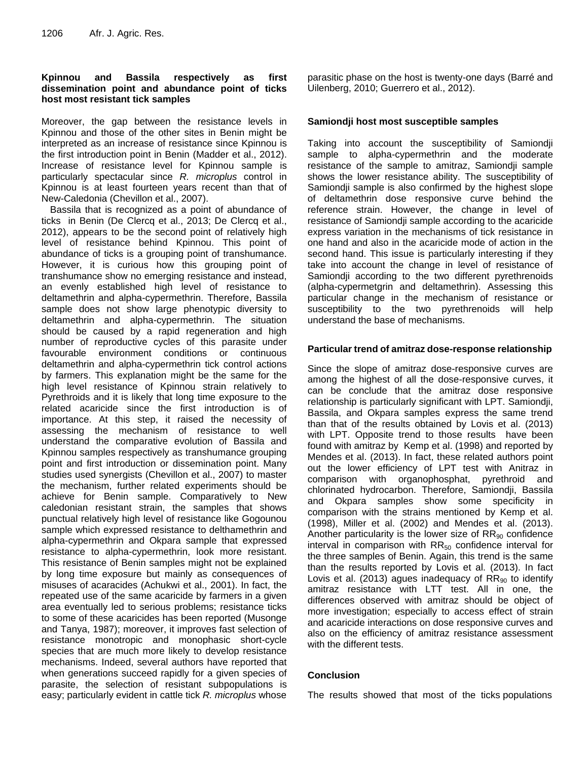# **Kpinnou and Bassila respectively as first dissemination point and abundance point of ticks host most resistant tick samples**

Moreover, the gap between the resistance levels in Kpinnou and those of the other sites in Benin might be interpreted as an increase of resistance since Kpinnou is the first introduction point in Benin (Madder et al., 2012). Increase of resistance level for Kpinnou sample is particularly spectacular since *R. microplus* control in Kpinnou is at least fourteen years recent than that of New-Caledonia (Chevillon et al., 2007).

Bassila that is recognized as a point of abundance of ticks in Benin (De Clercq et al., 2013; De Clercq et al., 2012), appears to be the second point of relatively high level of resistance behind Kpinnou. This point of abundance of ticks is a grouping point of transhumance. However, it is curious how this grouping point of transhumance show no emerging resistance and instead, an evenly established high level of resistance to deltamethrin and alpha-cypermethrin. Therefore, Bassila sample does not show large phenotypic diversity to deltamethrin and alpha-cypermethrin. The situation should be caused by a rapid regeneration and high number of reproductive cycles of this parasite under favourable environment conditions or continuous deltamethrin and alpha-cypermethrin tick control actions by farmers. This explanation might be the same for the high level resistance of Kpinnou strain relatively to Pyrethroids and it is likely that long time exposure to the related acaricide since the first introduction is of importance. At this step, it raised the necessity of assessing the mechanism of resistance to well understand the comparative evolution of Bassila and Kpinnou samples respectively as transhumance grouping point and first introduction or dissemination point. Many studies used synergists (Chevillon et al., 2007) to master the mechanism, further related experiments should be achieve for Benin sample. Comparatively to New caledonian resistant strain, the samples that shows punctual relatively high level of resistance like Gogounou sample which expressed resistance to delthamethrin and alpha-cypermethrin and Okpara sample that expressed resistance to alpha-cypermethrin, look more resistant. This resistance of Benin samples might not be explained by long time exposure but mainly as consequences of misuses of acaracides (Achukwi et al., 2001). In fact, the repeated use of the same acaricide by farmers in a given area eventually led to serious problems; resistance ticks to some of these acaricides has been reported (Musonge and Tanya, 1987); moreover, it improves fast selection of resistance monotropic and monophasic short-cycle species that are much more likely to develop resistance mechanisms. Indeed, several authors have reported that when generations succeed rapidly for a given species of parasite, the selection of resistant subpopulations is easy; particularly evident in cattle tick *R. microplus* whose

parasitic phase on the host is twenty-one days (Barré and Uilenberg, 2010; Guerrero et al., 2012).

# **Samiondji host most susceptible samples**

Taking into account the susceptibility of Samiondji sample to alpha-cypermethrin and the moderate resistance of the sample to amitraz, Samiondji sample shows the lower resistance ability. The susceptibility of Samiondji sample is also confirmed by the highest slope of deltamethrin dose responsive curve behind the reference strain. However, the change in level of resistance of Samiondji sample according to the acaricide express variation in the mechanisms of tick resistance in one hand and also in the acaricide mode of action in the second hand. This issue is particularly interesting if they take into account the change in level of resistance of Samiondji according to the two different pyrethrenoids (alpha-cypermetgrin and deltamethrin). Assessing this particular change in the mechanism of resistance or susceptibility to the two pyrethrenoids will help understand the base of mechanisms.

# **Particular trend of amitraz dose-response relationship**

Since the slope of amitraz dose-responsive curves are among the highest of all the dose-responsive curves, it can be conclude that the amitraz dose responsive relationship is particularly significant with LPT. Samiondji, Bassila, and Okpara samples express the same trend than that of the results obtained by Lovis et al. (2013) with LPT. Opposite trend to those results have been found with amitraz by Kemp et al. (1998) and reported by Mendes et al. (2013). In fact, these related authors point out the lower efficiency of LPT test with Anitraz in comparison with organophosphat, pyrethroid and chlorinated hydrocarbon. Therefore, Samiondji, Bassila and Okpara samples show some specificity in comparison with the strains mentioned by Kemp et al. (1998), Miller et al. (2002) and Mendes et al. (2013). Another particularity is the lower size of  $RR_{90}$  confidence interval in comparison with  $RR_{50}$  confidence interval for the three samples of Benin. Again, this trend is the same than the results reported by Lovis et al. (2013). In fact Lovis et al. (2013) agues inadequacy of  $RR_{90}$  to identify amitraz resistance with LTT test. All in one, the differences observed with amitraz should be object of more investigation; especially to access effect of strain and acaricide interactions on dose responsive curves and also on the efficiency of amitraz resistance assessment with the different tests.

# **Conclusion**

The results showed that most of the ticks populations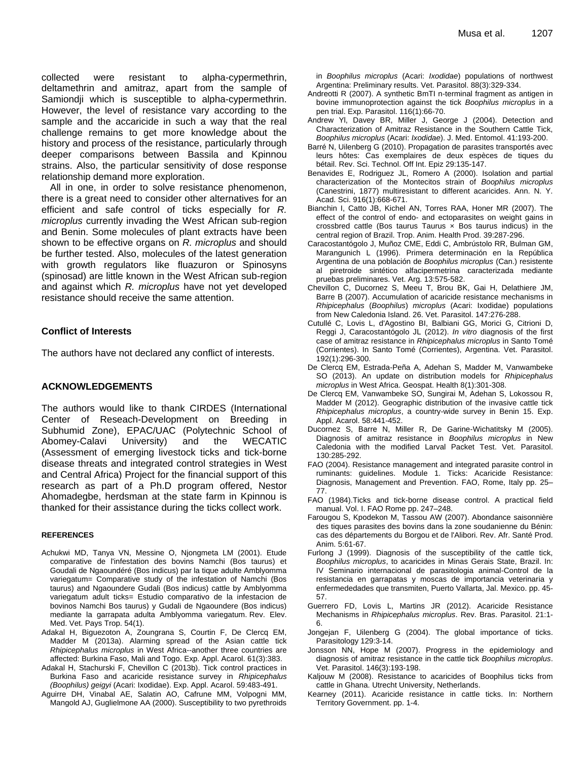collected were resistant to alpha-cypermethrin, deltamethrin and amitraz, apart from the sample of Samiondji which is susceptible to alpha-cypermethrin. However, the level of resistance vary according to the sample and the accaricide in such a way that the real challenge remains to get more knowledge about the history and process of the resistance, particularly through deeper comparisons between Bassila and Kpinnou strains. Also, the particular sensitivity of dose response relationship demand more exploration.

All in one, in order to solve resistance phenomenon, there is a great need to consider other alternatives for an efficient and safe control of ticks especially for *R. microplus* currently invading the West African sub-region and Benin. Some molecules of plant extracts have been shown to be effective organs on *R. microplus* and should be further tested. Also, molecules of the latest generation with growth regulators like fluazuron or Spinosyns (spinosad) are little known in the West African sub-region and against which *R. microplus* have not yet developed resistance should receive the same attention.

# **Conflict of Interests**

The authors have not declared any conflict of interests.

## **ACKNOWLEDGEMENTS**

The authors would like to thank CIRDES (International Center of Reseach-Development on Breeding in Subhumid Zone), EPAC/UAC (Polytechnic School of<br>Abomey-Calavi University) and the WECATIC Abomey-Calavi University) and the WECATIC (Assessment of emerging livestock ticks and tick-borne disease threats and integrated control strategies in West and Central Africa) Project for the financial support of this research as part of a Ph.D program offered, Nestor Ahomadegbe, herdsman at the state farm in Kpinnou is thanked for their assistance during the ticks collect work.

#### **REFERENCES**

- Achukwi MD, Tanya VN, Messine O, Njongmeta LM (2001). Etude comparative de l'infestation des bovins Namchi (Bos taurus) et Goudali de Ngaoundéré (Bos indicus) par la tique adulte Amblyomma variegatum= Comparative study of the infestation of Namchi (Bos taurus) and Ngaoundere Gudali (Bos indicus) cattle by Amblyomma variegatum adult ticks= Estudio comparativo de la infestacion de bovinos Namchi Bos taurus) y Gudali de Ngaoundere (Bos indicus) mediante la garrapata adulta Amblyomma variegatum. Rev. Elev. Med. Vet. Pays Trop. 54(1).
- Adakal H, Biguezoton A, Zoungrana S, Courtin F, De Clercq EM, Madder M (2013a). Alarming spread of the Asian cattle tick *Rhipicephalus microplus* in West Africa--another three countries are affected: Burkina Faso, Mali and Togo. Exp. Appl. Acarol. 61(3):383.
- Adakal H, Stachurski F, Chevillon C (2013b). Tick control practices in Burkina Faso and acaricide resistance survey in *Rhipicephalus (Boophilus) geigyi* (Acari: Ixodidae). Exp. Appl. Acarol. 59:483-491.
- Aguirre DH, Vinabal AE, Salatin AO, Cafrune MM, Volpogni MM, Mangold AJ, Guglielmone AA (2000). Susceptibility to two pyrethroids

in *Boophilus microplus* (Acari: *Ixodidae*) populations of northwest Argentina: Preliminary results. Vet. Parasitol. 88(3):329-334.

- Andreotti R (2007). A synthetic BmTI n-terminal fragment as antigen in bovine immunoprotection against the tick *Boophilus microplus* in a pen trial. Exp. Parasitol. 116(1):66-70.
- Andrew Yl, Davey BR, Miller J, George J (2004). Detection and Characterization of Amitraz Resistance in the Southern Cattle Tick, *Boophilus microplus* (Acari: *Ixodidae*). J. Med. Entomol. 41:193-200.
- Barré N, Uilenberg G (2010). Propagation de parasites transportés avec leurs hôtes: Cas exemplaires de deux espèces de tiques du bétail. Rev. Sci. Technol. Off Int. Epiz 29:135-147.
- Benavides E, Rodriguez JL, Romero A (2000). Isolation and partial characterization of the Montecitos strain of *Boophilus microplus* (Canestrini, 1877) multiresistant to different acaricides. Ann. N. Y. Acad. Sci. 916(1):668-671.
- Bianchin I, Catto JB, Kichel AN, Torres RAA, Honer MR (2007). The effect of the control of endo- and ectoparasites on weight gains in crossbred cattle (Bos taurus Taurus  $x$  Bos taurus indicus) in the central region of Brazil. Trop. Anim. Health Prod. 39:287-296.
- Caracostantógolo J, Muñoz CME, Eddi C, Ambrústolo RR, Bulman GM, Marangunich L (1996). Primera determinación en la República Argentina de una población de *Boophilus microplus* (Can.) resistente al piretroide sintético alfacipermetrina caracterizada mediante pruebas preliminares. Vet. Arg. 13:575-582.
- Chevillon C, Ducornez S, Meeu T, Brou BK, Gai H, Delathiere JM, Barre B (2007). Accumulation of acaricide resistance mechanisms in *Rhipicephalus* (*Boophilus*) *microplus* (Acari: Ixodidae) populations from New Caledonia Island. 26. Vet. Parasitol. 147:276-288.
- Cutullé C, Lovis L, d'Agostino BI, Balbiani GG, Morici G, Citrioni D, Reggi J, Caracostantógolo JL (2012). *In vitro* diagnosis of the first case of amitraz resistance in *Rhipicephalus microplus* in Santo Tomé (Corrientes). In Santo Tomé (Corrientes), Argentina. Vet. Parasitol. 192(1):296-300.
- De Clercq EM, Estrada-Peña A, Adehan S, Madder M, Vanwambeke SO (2013). An update on distribution models for *Rhipicephalus microplus* in West Africa. Geospat. Health 8(1):301-308.
- De Clercq EM, Vanwambeke SO, Sungirai M, Adehan S, Lokossou R, Madder M (2012). Geographic distribution of the invasive cattle tick *Rhipicephalus microplus*, a country-wide survey in Benin 15. Exp. Appl. Acarol. 58:441-452.
- Ducornez S, Barre N, Miller R, De Garine-Wichatitsky M (2005). Diagnosis of amitraz resistance in *Boophilus microplus* in New Caledonia with the modified Larval Packet Test. Vet. Parasitol. 130:285-292.
- FAO (2004). Resistance management and integrated parasite control in ruminants: guidelines. Module 1. Ticks: Acaricide Resistance: Diagnosis, Management and Prevention. FAO, Rome, Italy pp. 25– 77.
- FAO (1984).Ticks and tick-borne disease control. A practical field manual. Vol. I. FAO Rome pp. 247–248.
- Farougou S, Kpodekon M, Tassou AW (2007). Abondance saisonnière des tiques parasites des bovins dans la zone soudanienne du Bénin: cas des départements du Borgou et de l'Alibori. Rev. Afr. Santé Prod. Anim. 5:61-67.
- Furlong J (1999). Diagnosis of the susceptibility of the cattle tick, *Boophilus microplus*, to acaricides in Minas Gerais State, Brazil. In: IV Seminario internacional de parasitologia animal-Control de la resistancia en garrapatas y moscas de importancia veterinaria y enfermededades que transmiten, Puerto Vallarta, Jal. Mexico. pp. 45- 57.
- Guerrero FD, Lovis L, Martins JR (2012). Acaricide Resistance Mechanisms in *Rhipicephalus microplus*. Rev. Bras. Parasitol. 21:1- 6.
- Jongejan F, Uilenberg G (2004). The global importance of ticks. Parasitology 129:3-14.
- Jonsson NN, Hope M (2007). Progress in the epidemiology and diagnosis of amitraz resistance in the cattle tick *Boophilus microplus*. Vet. Parasitol. 146(3):193-198.
- Kaljouw M (2008). Resistance to acaricides of Boophilus ticks from cattle in Ghana. Utrecht University, Netherlands.
- Kearney (2011). Acaricide resistance in cattle ticks. In: Northern Territory Government. pp. 1-4.